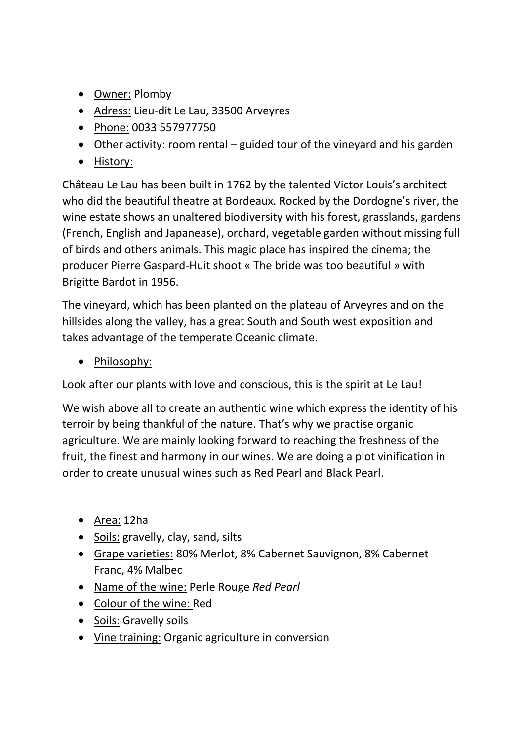- Owner: Plomby
- Adress: Lieu-dit Le Lau, 33500 Arveyres
- Phone: 0033 557977750
- Other activity: room rental guided tour of the vineyard and his garden
- History:

Château Le Lau has been built in 1762 by the talented Victor Louis's architect who did the beautiful theatre at Bordeaux. Rocked by the Dordogne's river, the wine estate shows an unaltered biodiversity with his forest, grasslands, gardens (French, English and Japanease), orchard, vegetable garden without missing full of birds and others animals. This magic place has inspired the cinema; the producer Pierre Gaspard-Huit shoot « The bride was too beautiful » with Brigitte Bardot in 1956.

The vineyard, which has been planted on the plateau of Arveyres and on the hillsides along the valley, has a great South and South west exposition and takes advantage of the temperate Oceanic climate.

• Philosophy:

Look after our plants with love and conscious, this is the spirit at Le Lau!

We wish above all to create an authentic wine which express the identity of his terroir by being thankful of the nature. That's why we practise organic agriculture. We are mainly looking forward to reaching the freshness of the fruit, the finest and harmony in our wines. We are doing a plot vinification in order to create unusual wines such as Red Pearl and Black Pearl.

- Area: 12ha
- Soils: gravelly, clay, sand, silts
- Grape varieties: 80% Merlot, 8% Cabernet Sauvignon, 8% Cabernet Franc, 4% Malbec
- Name of the wine: Perle Rouge *Red Pearl*
- Colour of the wine: Red
- Soils: Gravelly soils
- Vine training: Organic agriculture in conversion